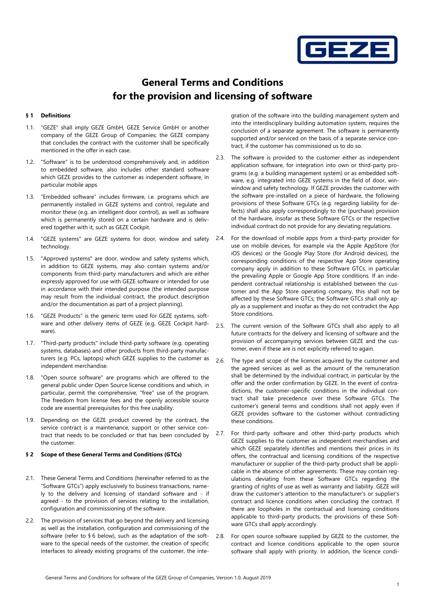

# General Terms and Conditions for the provision and licensing of software

## § 1 Definitions

- 1.1. "GEZE" shall imply GEZE GmbH, GEZE Service GmbH or another company of the GEZE Group of Companies; the GEZE company that concludes the contract with the customer shall be specifically mentioned in the offer in each case.
- 1.2. "Software" is to be understood comprehensively and, in addition to embedded software, also includes other standard software which GEZE provides to the customer as independent software, in particular mobile apps.
- 1.3. "Embedded software" includes firmware, i.e. programs which are permanently installed in GEZE systems and control, regulate and monitor these (e.g. an intelligent door control), as well as software which is permanently stored on a certain hardware and is delivered together with it, such as GEZE Cockpit.
- 1.4. "GEZE systems" are GEZE systems for door, window and safety technology.
- 1.5. "Approved systems" are door, window and safety systems which, in addition to GEZE systems, may also contain systems and/or components from third-party manufacturers and which are either expressly approved for use with GEZE software or intended for use in accordance with their intended purpose (the intended purpose may result from the individual contract, the product description and/or the documentation as part of a project planning).
- 1.6. "GEZE Products" is the generic term used for GEZE systems, software and other delivery items of GEZE (e.g. GEZE Cockpit hardware).
- 1.7. "Third-party products" include third-party software (e.g. operating systems, databases) and other products from third-party manufacturers (e.g. PCs, laptops) which GEZE supplies to the customer as independent merchandise.
- 1.8. "Open source software" are programs which are offered to the general public under Open Source license conditions and which, in particular, permit the comprehensive, "free" use of the program. The freedom from license fees and the openly accessible source code are essential prerequisites for this free usability.
- 1.9. Depending on the GEZE product covered by the contract, the service contract is a maintenance, support or other service contract that needs to be concluded or that has been concluded by the customer.

#### § 2 Scope of these General Terms and Conditions (GTCs)

- 2.1. These General Terms and Conditions (hereinafter referred to as the "Software GTCs") apply exclusively to business transactions, namely to the delivery and licensing of standard software and - if agreed - to the provision of services relating to the installation, configuration and commissioning of the software.
- 2.2. The provision of services that go beyond the delivery and licensing as well as the installation, configuration and commissioning of the software (refer to § 6 below), such as the adaptation of the software to the special needs of the customer, the creation of specific interfaces to already existing programs of the customer, the inte-

gration of the software into the building management system and into the interdisciplinary building automation system, requires the conclusion of a separate agreement. The software is permanently supported and/or serviced on the basis of a separate service contract, if the customer has commissioned us to do so.

- 2.3. The software is provided to the customer either as independent application software, for integration into own or third-party programs (e.g. a building management system) or as embedded software, e.g. integrated into GEZE systems in the field of door, winwindow and safety technology. If GEZE provides the customer with the software pre-installed on a piece of hardware, the following provisions of these Software GTCs (e.g. regarding liability for defects) shall also apply correspondingly to the (purchase) provision of the hardware, insofar as these Software GTCs or the respective individual contract do not provide for any deviating regulations.
- 2.4. For the download of mobile apps from a third-party provider for use on mobile devices, for example via the Apple AppStore (for iOS devices) or the Google Play Store (for Android devices), the corresponding conditions of the respective App Store operating company apply in addition to these Software GTCs, in particular the prevailing Apple or Google App Store conditions. If an independent contractual relationship is established between the customer and the App Store operating company, this shall not be affected by these Software GTCs; the Software GTCs shall only apply as a supplement and insofar as they do not contradict the App Store conditions.
- 2.5. The current version of the Software GTCs shall also apply to all future contracts for the delivery and licensing of software and the provision of accompanying services between GEZE and the customer, even if these are is not explicitly referred to again.
- 2.6. The type and scope of the licences acquired by the customer and the agreed services as well as the amount of the remuneration shall be determined by the individual contract, in particular by the offer and the order confirmation by GEZE. In the event of contradictions, the customer-specific conditions in the individual contract shall take precedence over these Software GTCs. The customer's general terms and conditions shall not apply even if GEZE provides software to the customer without contradicting these conditions.
- 2.7. For third-party software and other third-party products which GEZE supplies to the customer as independent merchandises and which GEZE separately identifies and mentions their prices in its offers, the contractual and licensing conditions of the respective manufacturer or supplier of the third-party product shall be applicable in the absence of other agreements. These may contain regulations deviating from these Software GTCs regarding the granting of rights of use as well as warranty and liability. GEZE will draw the customer's attention to the manufacturer's or supplier's contract and licence conditions when concluding the contract. If there are loopholes in the contractual and licensing conditions applicable to third-party products, the provisions of these Software GTCs shall apply accordingly.
- 2.8. For open source software supplied by GEZE to the customer, the contract and licence conditions applicable to the open source software shall apply with priority. In addition, the licence condi-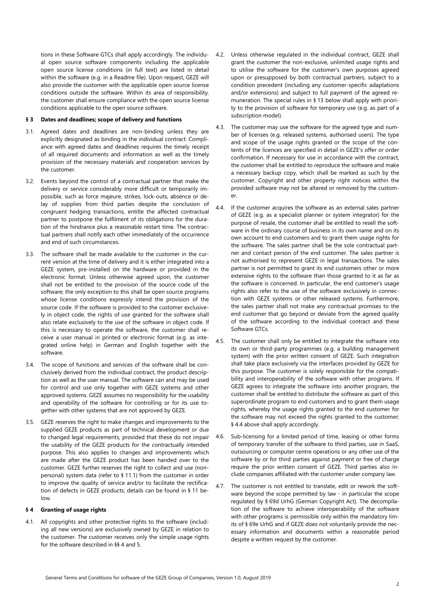tions in these Software GTCs shall apply accordingly. The individual open source software components including the applicable open source license conditions (in full text) are listed in detail within the software (e.g. in a Readme file). Upon request, GEZE will also provide the customer with the applicable open source license conditions outside the software. Within its area of responsibility, the customer shall ensure compliance with the open source license conditions applicable to the open source software.

### § 3 Dates and deadlines; scope of delivery and functions

- 3.1. Agreed dates and deadlines are non-binding unless they are explicitly designated as binding in the individual contract. Compliance with agreed dates and deadlines requires the timely receipt of all required documents and information as well as the timely provision of the necessary materials and cooperation services by the customer.
- 3.2. Events beyond the control of a contractual partner that make the delivery or service considerably more difficult or temporarily impossible, such as force majeure, strikes, lock-outs, absence or delay of supplies from third parties despite the conclusion of congruent hedging transactions, entitle the affected contractual partner to postpone the fulfilment of its obligations for the duration of the hindrance plus a reasonable restart time. The contractual partners shall notify each other immediately of the occurrence and end of such circumstances.
- 3.3. The software shall be made available to the customer in the current version at the time of delivery and it is either integrated into a GEZE system, pre-installed on the hardware or provided in the electronic format. Unless otherwise agreed upon, the customer shall not be entitled to the provision of the source code of the software; the only exception to this shall be open source programs whose license conditions expressly intend the provision of the source code. If the software is provided to the customer exclusively in object code, the rights of use granted for the software shall also relate exclusively to the use of the software in object code. If this is necessary to operate the software, the customer shall receive a user manual in printed or electronic format (e.g. as integrated online help) in German and English together with the software.
- 3.4. The scope of functions and services of the software shall be conclusively derived from the individual contract, the product description as well as the user manual. The software can and may be used for control and use only together with GEZE systems and other approved systems. GEZE assumes no responsibility for the usability and operability of the software for controlling or for its use together with other systems that are not approved by GEZE.
- 3.5. GEZE reserves the right to make changes and improvements to the supplied GEZE products as part of technical development or due to changed legal requirements, provided that these do not impair the usability of the GEZE products for the contractually intended purpose. This also applies to changes and improvements which are made after the GEZE product has been handed over to the customer. GEZE further reserves the right to collect and use (nonpersonal) system data (refer to § 11.1) from the customer in order to improve the quality of service and/or to facilitate the rectification of defects in GEZE products; details can be found in § 11 below.

# § 4 Granting of usage rights

4.1. All copyrights and other protective rights to the software (including all new versions) are exclusively owned by GEZE in relation to the customer. The customer receives only the simple usage rights for the software described in §§ 4 and 5.

- 4.2. Unless otherwise regulated in the individual contract, GEZE shall grant the customer the non-exclusive, unlimited usage rights and to utilise the software for the customer's own purposes agreed upon or presupposed by both contractual partners, subject to a condition precedent (including any customer-specific adaptations and/or extensions) and subject to full payment of the agreed remuneration. The special rules in § 13 below shall apply with priority to the provision of software for temporary use (e.g. as part of a subscription model).
- 4.3. The customer may use the software for the agreed type and number of licenses (e.g. released systems, authorised users). The type and scope of the usage rights granted or the scope of the contents of the licences are specified in detail in GEZE's offer or order confirmation. If necessary for use in accordance with the contract, the customer shall be entitled to reproduce the software and make a necessary backup copy, which shall be marked as such by the customer. Copyright and other property right notices within the provided software may not be altered or removed by the customer.
- 4.4. If the customer acquires the software as an external sales partner of GEZE (e.g. as a specialist planner or system integrator) for the purpose of resale, the customer shall be entitled to resell the software in the ordinary course of business in its own name and on its own account to end customers and to grant them usage rights for the software. The sales partner shall be the sole contractual partner and contact person of the end customer. The sales partner is not authorised to represent GEZE in legal transactions. The sales partner is not permitted to grant its end customers other or more extensive rights to the software than those granted to it as far as the software is concerned. In particular, the end customer's usage rights also refer to the use of the software exclusively in connection with GEZE systems or other released systems. Furthermore, the sales partner shall not make any contractual promises to the end customer that go beyond or deviate from the agreed quality of the software according to the individual contract and these Software GTCs.
- 4.5. The customer shall only be entitled to integrate the software into its own or third-party programmes (e.g. a building management system) with the prior written consent of GEZE. Such integration shall take place exclusively via the interfaces provided by GEZE for this purpose. The customer is solely responsible for the compatibility and interoperability of the software with other programs. If GEZE agrees to integrate the software into another program, the customer shall be entitled to distribute the software as part of this superordinate program to end customers and to grant them usage rights, whereby the usage rights granted to the end customer for the software may not exceed the rights granted to the customer; § 4.4 above shall apply accordingly.
- 4.6. Sub-licensing for a limited period of time, leasing or other forms of temporary transfer of the software to third parties, use in SaaS, outsourcing or computer centre operations or any other use of the software by or for third parties against payment or free of charge require the prior written consent of GEZE. Third parties also include companies affiliated with the customer under company law.
- 4.7. The customer is not entitled to translate, edit or rework the software beyond the scope permitted by law - in particular the scope regulated by § 69d UrhG (German Copyright Act). The decompilation of the software to achieve interoperability of the software with other programs is permissible only within the mandatory limits of § 69e UrhG and if GEZE does not voluntarily provide the necessary information and documents within a reasonable period despite a written request by the customer.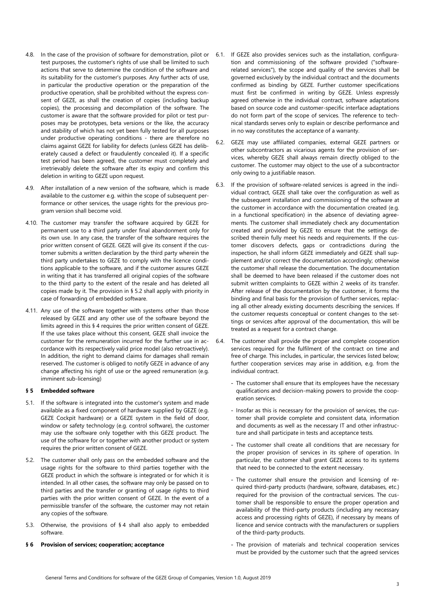- 4.8. In the case of the provision of software for demonstration, pilot or test purposes, the customer's rights of use shall be limited to such actions that serve to determine the condition of the software and its suitability for the customer's purposes. Any further acts of use, in particular the productive operation or the preparation of the productive operation, shall be prohibited without the express consent of GEZE, as shall the creation of copies (including backup copies), the processing and decompilation of the software. The customer is aware that the software provided for pilot or test purposes may be prototypes, beta versions or the like, the accuracy and stability of which has not yet been fully tested for all purposes under productive operating conditions - there are therefore no claims against GEZE for liability for defects (unless GEZE has deliberately caused a defect or fraudulently concealed it). If a specific test period has been agreed, the customer must completely and irretrievably delete the software after its expiry and confirm this deletion in writing to GEZE upon request.
- 4.9. After installation of a new version of the software, which is made available to the customer e.g. within the scope of subsequent performance or other services, the usage rights for the previous program version shall become void.
- 4.10. The customer may transfer the software acquired by GEZE for permanent use to a third party under final abandonment only for its own use. In any case, the transfer of the software requires the prior written consent of GEZE. GEZE will give its consent if the customer submits a written declaration by the third party wherein the third party undertakes to GEZE to comply with the licence conditions applicable to the software, and if the customer assures GEZE in writing that it has transferred all original copies of the software to the third party to the extent of the resale and has deleted all copies made by it. The provision in § 5.2 shall apply with priority in case of forwarding of embedded software.
- 4.11. Any use of the software together with systems other than those released by GEZE and any other use of the software beyond the limits agreed in this § 4 requires the prior written consent of GEZE. If the use takes place without this consent, GEZE shall invoice the customer for the remuneration incurred for the further use in accordance with its respectively valid price model (also retroactively). In addition, the right to demand claims for damages shall remain reserved. The customer is obliged to notify GEZE in advance of any change affecting his right of use or the agreed remuneration (e.g. imminent sub-licensing)

## § 5 Embedded software

- 5.1. If the software is integrated into the customer's system and made available as a fixed component of hardware supplied by GEZE (e.g. GEZE Cockpit hardware) or a GEZE system in the field of door, window or safety technology (e.g. control software), the customer may use the software only together with this GEZE product. The use of the software for or together with another product or system requires the prior written consent of GEZE.
- 5.2. The customer shall only pass on the embedded software and the usage rights for the software to third parties together with the GEZE product in which the software is integrated or for which it is intended. In all other cases, the software may only be passed on to third parties and the transfer or granting of usage rights to third parties with the prior written consent of GEZE. In the event of a permissible transfer of the software, the customer may not retain any copies of the software.
- 5.3. Otherwise, the provisions of § 4 shall also apply to embedded software.

## Provision of services; cooperation; acceptance

- 6.1. If GEZE also provides services such as the installation, configuration and commissioning of the software provided ("softwarerelated services"), the scope and quality of the services shall be governed exclusively by the individual contract and the documents confirmed as binding by GEZE. Further customer specifications must first be confirmed in writing by GEZE. Unless expressly agreed otherwise in the individual contract, software adaptations based on source code and customer-specific interface adaptations do not form part of the scope of services. The reference to technical standards serves only to explain or describe performance and in no way constitutes the acceptance of a warranty.
- 6.2. GEZE may use affiliated companies, external GEZE partners or other subcontractors as vicarious agents for the provision of services, whereby GEZE shall always remain directly obliged to the customer. The customer may object to the use of a subcontractor only owing to a justifiable reason.
- 6.3. If the provision of software-related services is agreed in the individual contract, GEZE shall take over the configuration as well as the subsequent installation and commissioning of the software at the customer in accordance with the documentation created (e.g. in a functional specification) in the absence of deviating agreements. The customer shall immediately check any documentation created and provided by GEZE to ensure that the settings described therein fully meet his needs and requirements. If the customer discovers defects, gaps or contradictions during the inspection, he shall inform GEZE immediately and GEZE shall supplement and/or correct the documentation accordingly; otherwise the customer shall release the documentation. The documentation shall be deemed to have been released if the customer does not submit written complaints to GEZE within 2 weeks of its transfer. After release of the documentation by the customer, it forms the binding and final basis for the provision of further services, replacing all other already existing documents describing the services. If the customer requests conceptual or content changes to the settings or services after approval of the documentation, this will be treated as a request for a contract change.
- 6.4. The customer shall provide the proper and complete cooperation services required for the fulfilment of the contract on time and free of charge. This includes, in particular, the services listed below; further cooperation services may arise in addition, e.g. from the individual contract.
	- The customer shall ensure that its employees have the necessary qualifications and decision-making powers to provide the cooperation services.
	- Insofar as this is necessary for the provision of services, the customer shall provide complete and consistent data, information and documents as well as the necessary IT and other infrastructure and shall participate in tests and acceptance tests.
	- The customer shall create all conditions that are necessary for the proper provision of services in its sphere of operation. In particular, the customer shall grant GEZE access to its systems that need to be connected to the extent necessary.
	- The customer shall ensure the provision and licensing of required third-party products (hardware, software, databases, etc.) required for the provision of the contractual services. The customer shall be responsible to ensure the proper operation and availability of the third-party products (including any necessary access and processing rights of GEZE), if necessary by means of licence and service contracts with the manufacturers or suppliers of the third-party products.
	- The provision of materials and technical cooperation services must be provided by the customer such that the agreed services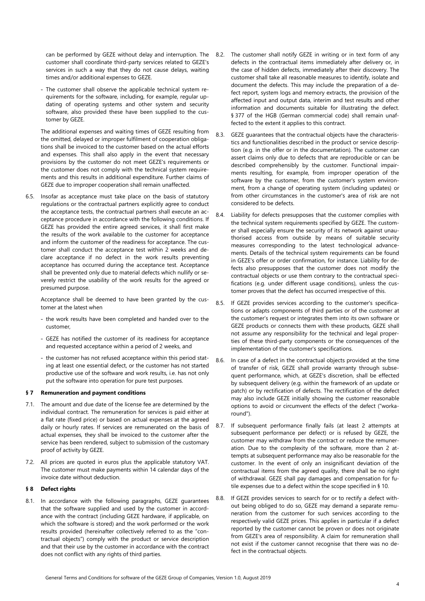can be performed by GEZE without delay and interruption. The customer shall coordinate third-party services related to GEZE's services in such a way that they do not cause delays, waiting times and/or additional expenses to GEZE.

- The customer shall observe the applicable technical system requirements for the software, including, for example, regular updating of operating systems and other system and security software, also provided these have been supplied to the customer by GEZE.

The additional expenses and waiting times of GEZE resulting from the omitted, delayed or improper fulfilment of cooperation obligations shall be invoiced to the customer based on the actual efforts and expenses. This shall also apply in the event that necessary provisions by the customer do not meet GEZE's requirements or the customer does not comply with the technical system requirements and this results in additional expenditure. Further claims of GEZE due to improper cooperation shall remain unaffected.

6.5. Insofar as acceptance must take place on the basis of statutory regulations or the contractual partners explicitly agree to conduct the acceptance tests, the contractual partners shall execute an acceptance procedure in accordance with the following conditions. If GEZE has provided the entire agreed services, it shall first make the results of the work available to the customer for acceptance and inform the customer of the readiness for acceptance. The customer shall conduct the acceptance test within 2 weeks and declare acceptance if no defect in the work results preventing acceptance has occurred during the acceptance test. Acceptance shall be prevented only due to material defects which nullify or severely restrict the usability of the work results for the agreed or presumed purpose.

Acceptance shall be deemed to have been granted by the customer at the latest when

- the work results have been completed and handed over to the customer,
- GEZE has notified the customer of its readiness for acceptance and requested acceptance within a period of 2 weeks, and
- the customer has not refused acceptance within this period stating at least one essential defect, or the customer has not started productive use of the software and work results, i.e. has not only put the software into operation for pure test purposes.

# § 7 Remuneration and payment conditions

- 7.1. The amount and due date of the license fee are determined by the individual contract. The remuneration for services is paid either at a flat rate (fixed price) or based on actual expenses at the agreed daily or hourly rates. If services are remunerated on the basis of actual expenses, they shall be invoiced to the customer after the service has been rendered, subject to submission of the customary proof of activity by GEZE.
- 7.2. All prices are quoted in euros plus the applicable statutory VAT. The customer must make payments within 14 calendar days of the invoice date without deduction.

# § 8 Defect rights

8.1. In accordance with the following paragraphs, GEZE guarantees that the software supplied and used by the customer in accordance with the contract (including GEZE hardware, if applicable, on which the software is stored) and the work performed or the work results provided (hereinafter collectively referred to as the "contractual objects") comply with the product or service description and that their use by the customer in accordance with the contract does not conflict with any rights of third parties.

- 8.2. The customer shall notify GEZE in writing or in text form of any defects in the contractual items immediately after delivery or, in the case of hidden defects, immediately after their discovery. The customer shall take all reasonable measures to identify, isolate and document the defects. This may include the preparation of a defect report, system logs and memory extracts, the provision of the affected input and output data, interim and test results and other information and documents suitable for illustrating the defect. § 377 of the HGB (German commercial code) shall remain unaffected to the extent it applies to this contract.
- 8.3. GEZE guarantees that the contractual objects have the characteristics and functionalities described in the product or service description (e.g. in the offer or in the documentation). The customer can assert claims only due to defects that are reproducible or can be described comprehensibly by the customer. Functional impairments resulting, for example, from improper operation of the software by the customer, from the customer's system environment, from a change of operating system (including updates) or from other circumstances in the customer's area of risk are not considered to be defects.
- 8.4. Liability for defects presupposes that the customer complies with the technical system requirements specified by GEZE. The customer shall especially ensure the security of its network against unauthorised access from outside by means of suitable security measures corresponding to the latest technological advancements. Details of the technical system requirements can be found in GEZE's offer or order confirmation, for instance. Liability for defects also presupposes that the customer does not modify the contractual objects or use them contrary to the contractual specifications (e.g. under different usage conditions), unless the customer proves that the defect has occurred irrespective of this.
- 8.5. If GEZE provides services according to the customer's specifications or adapts components of third parties or of the customer at the customer's request or integrates them into its own software or GEZE products or connects them with these products, GEZE shall not assume any responsibility for the technical and legal properties of these third-party components or the consequences of the implementation of the customer's specifications.
- 8.6. In case of a defect in the contractual objects provided at the time of transfer of risk, GEZE shall provide warranty through subsequent performance, which, at GEZE's discretion, shall be effected by subsequent delivery (e.g. within the framework of an update or patch) or by rectification of defects. The rectification of the defect may also include GEZE initially showing the customer reasonable options to avoid or circumvent the effects of the defect ("workaround").
- 8.7. If subsequent performance finally fails (at least 2 attempts at subsequent performance per defect) or is refused by GEZE, the customer may withdraw from the contract or reduce the remuneration. Due to the complexity of the software, more than 2 attempts at subsequent performance may also be reasonable for the customer. In the event of only an insignificant deviation of the contractual items from the agreed quality, there shall be no right of withdrawal. GEZE shall pay damages and compensation for futile expenses due to a defect within the scope specified in § 10.
- 8.8. If GEZE provides services to search for or to rectify a defect without being obliged to do so, GEZE may demand a separate remuneration from the customer for such services according to the respectively valid GEZE prices. This applies in particular if a defect reported by the customer cannot be proven or does not originate from GEZE's area of responsibility. A claim for remuneration shall not exist if the customer cannot recognise that there was no defect in the contractual objects.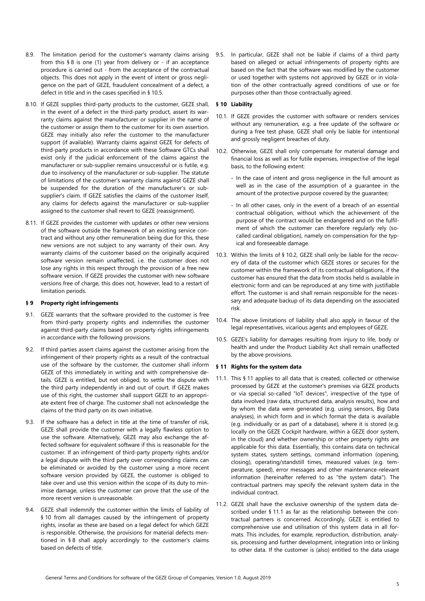- 8.9. The limitation period for the customer's warranty claims arising from this § 8 is one (1) year from delivery or - if an acceptance procedure is carried out - from the acceptance of the contractual objects. This does not apply in the event of intent or gross negligence on the part of GEZE, fraudulent concealment of a defect, a defect in title and in the cases specified in § 10.5.
- 8.10. If GEZE supplies third-party products to the customer, GEZE shall, in the event of a defect in the third-party product, assert its warranty claims against the manufacturer or supplier in the name of the customer or assign them to the customer for its own assertion. GEZE may initially also refer the customer to the manufacturer support (if available). Warranty claims against GEZE for defects of third-party products in accordance with these Software GTCs shall exist only if the judicial enforcement of the claims against the manufacturer or sub-supplier remains unsuccessful or is futile, e.g. due to insolvency of the manufacturer or sub-supplier. The statute of limitations of the customer's warranty claims against GEZE shall be suspended for the duration of the manufacturer's or subsupplier's claim. If GEZE satisfies the claims of the customer itself, any claims for defects against the manufacturer or sub-supplier assigned to the customer shall revert to GEZE (reassignment).
- 8.11. If GEZE provides the customer with updates or other new versions of the software outside the framework of an existing service contract and without any other remuneration being due for this, these new versions are not subject to any warranty of their own. Any warranty claims of the customer based on the originally acquired software version remain unaffected, i.e. the customer does not lose any rights in this respect through the provision of a free new software version. If GEZE provides the customer with new software versions free of charge, this does not, however, lead to a restart of limitation periods.

# § 9 Property right infringements

- 9.1. GEZE warrants that the software provided to the customer is free from third-party property rights and indemnifies the customer against third-party claims based on property rights infringements in accordance with the following provisions.
- 9.2. If third parties assert claims against the customer arising from the infringement of their property rights as a result of the contractual use of the software by the customer, the customer shall inform GEZE of this immediately in writing and with comprehensive details. GEZE is entitled, but not obliged, to settle the dispute with the third party independently in and out of court. If GEZE makes use of this right, the customer shall support GEZE to an appropriate extent free of charge. The customer shall not acknowledge the claims of the third party on its own initiative.
- 9.3. If the software has a defect in title at the time of transfer of risk, GEZE shall provide the customer with a legally flawless option to use the software. Alternatively, GEZE may also exchange the affected software for equivalent software if this is reasonable for the customer. If an infringement of third-party property rights and/or a legal dispute with the third party over corresponding claims can be eliminated or avoided by the customer using a more recent software version provided by GEZE, the customer is obliged to take over and use this version within the scope of its duty to minimise damage, unless the customer can prove that the use of the more recent version is unreasonable.
- 9.4. GEZE shall indemnify the customer within the limits of liability of § 10 from all damages caused by the infringement of property rights, insofar as these are based on a legal defect for which GEZE is responsible. Otherwise, the provisions for material defects mentioned in § 8 shall apply accordingly to the customer's claims based on defects of title.

9.5. In particular, GEZE shall not be liable if claims of a third party based on alleged or actual infringements of property rights are based on the fact that the software was modified by the customer or used together with systems not approved by GEZE or in violation of the other contractually agreed conditions of use or for purposes other than those contractually agreed.

# § 10 Liability

- 10.1. If GEZE provides the customer with software or renders services without any remuneration, e.g. a free update of the software or during a free test phase, GEZE shall only be liable for intentional and grossly negligent breaches of duty.
- 10.2. Otherwise, GEZE shall only compensate for material damage and financial loss as well as for futile expenses, irrespective of the legal basis, to the following extent:
	- In the case of intent and gross negligence in the full amount as well as in the case of the assumption of a guarantee in the amount of the protective purpose covered by the guarantee;
	- In all other cases, only in the event of a breach of an essential contractual obligation, without which the achievement of the purpose of the contract would be endangered and on the fulfilment of which the customer can therefore regularly rely (socalled cardinal obligation), namely on compensation for the typical and foreseeable damage.
- 10.3. Within the limits of § 10.2, GEZE shall only be liable for the recovery of data of the customer which GEZE stores or secures for the customer within the framework of its contractual obligations, if the customer has ensured that the data from stocks held is available in electronic form and can be reproduced at any time with justifiable effort. The customer is and shall remain responsible for the necessary and adequate backup of its data depending on the associated risk.
- 10.4. The above limitations of liability shall also apply in favour of the legal representatives, vicarious agents and employees of GEZE.
- 10.5. GEZE's liability for damages resulting from injury to life, body or health and under the Product Liability Act shall remain unaffected by the above provisions.

# § 11 Rights for the system data

- 11.1. This § 11 applies to all data that is created, collected or otherwise processed by GEZE at the customer's premises via GEZE products or via special so-called "IoT devices", irrespective of the type of data involved (raw data, structured data, analysis results), how and by whom the data were generated (e.g. using sensors, Big Data analyses), in which form and in which format the data is available (e.g. individually or as part of a database), where it is stored (e.g. locally on the GEZE Cockpit hardware, within a GEZE door system, in the cloud) and whether ownership or other property rights are applicable for this data. Essentially, this contains data on technical system states, system settings, command information (opening, closing), operating/standstill times, measured values (e.g. temperature, speed), error messages and other maintenance-relevant information (hereinafter referred to as "the system data"). The contractual partners may specify the relevant system data in the individual contract.
- 11.2. GEZE shall have the exclusive ownership of the system data described under § 11.1 as far as the relationship between the contractual partners is concerned. Accordingly, GEZE is entitled to comprehensive use and utilisation of this system data in all formats. This includes, for example, reproduction, distribution, analysis, processing and further development, integration into or linking to other data. If the customer is (also) entitled to the data usage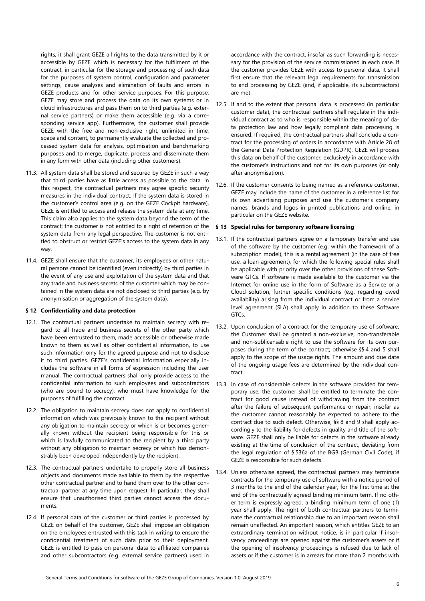rights, it shall grant GEZE all rights to the data transmitted by it or accessible by GEZE which is necessary for the fulfilment of the contract, in particular for the storage and processing of such data for the purposes of system control, configuration and parameter settings, cause analyses and elimination of faults and errors in GEZE products and for other service purposes. For this purpose, GEZE may store and process the data on its own systems or in cloud infrastructures and pass them on to third parties (e.g. external service partners) or make them accessible (e.g. via a corresponding service app). Furthermore, the customer shall provide GEZE with the free and non-exclusive right, unlimited in time, space and content, to permanently evaluate the collected and processed system data for analysis, optimisation and benchmarking purposes and to merge, duplicate, process and disseminate them in any form with other data (including other customers).

- 11.3. All system data shall be stored and secured by GEZE in such a way that third parties have as little access as possible to the data. In this respect, the contractual partners may agree specific security measures in the individual contract. If the system data is stored in the customer's control area (e.g. on the GEZE Cockpit hardware), GEZE is entitled to access and release the system data at any time. This claim also applies to the system data beyond the term of the contract; the customer is not entitled to a right of retention of the system data from any legal perspective. The customer is not entitled to obstruct or restrict GEZE's access to the system data in any way.
- 11.4. GEZE shall ensure that the customer, its employees or other natural persons cannot be identified (even indirectly) by third parties in the event of any use and exploitation of the system data and that any trade and business secrets of the customer which may be contained in the system data are not disclosed to third parties (e.g. by anonymisation or aggregation of the system data).

# § 12 Confidentiality and data protection

- 12.1. The contractual partners undertake to maintain secrecy with regard to all trade and business secrets of the other party which have been entrusted to them, made accessible or otherwise made known to them as well as other confidential information, to use such information only for the agreed purpose and not to disclose it to third parties. GEZE's confidential information especially includes the software in all forms of expression including the user manual. The contractual partners shall only provide access to the confidential information to such employees and subcontractors (who are bound to secrecy), who must have knowledge for the purposes of fulfilling the contract.
- 12.2. The obligation to maintain secrecy does not apply to confidential information which was previously known to the recipient without any obligation to maintain secrecy or which is or becomes generally known without the recipient being responsible for this or which is lawfully communicated to the recipient by a third party without any obligation to maintain secrecy or which has demonstrably been developed independently by the recipient.
- 12.3. The contractual partners undertake to properly store all business objects and documents made available to them by the respective other contractual partner and to hand them over to the other contractual partner at any time upon request. In particular, they shall ensure that unauthorised third parties cannot access the documents.
- 12.4. If personal data of the customer or third parties is processed by GEZE on behalf of the customer, GEZE shall impose an obligation on the employees entrusted with this task in writing to ensure the confidential treatment of such data prior to their deployment. GEZE is entitled to pass on personal data to affiliated companies and other subcontractors (e.g. external service partners) used in

accordance with the contract, insofar as such forwarding is necessary for the provision of the service commissioned in each case. If the customer provides GEZE with access to personal data, it shall first ensure that the relevant legal requirements for transmission to and processing by GEZE (and, if applicable, its subcontractors) are met.

- 12.5. If and to the extent that personal data is processed (in particular customer data), the contractual partners shall regulate in the individual contract as to who is responsible within the meaning of data protection law and how legally compliant data processing is ensured. If required, the contractual partners shall conclude a contract for the processing of orders in accordance with Article 28 of the General Data Protection Regulation (GDPR). GEZE will process this data on behalf of the customer, exclusively in accordance with the customer's instructions and not for its own purposes (or only after anonymisation).
- 12.6. If the customer consents to being named as a reference customer, GEZE may include the name of the customer in a reference list for its own advertising purposes and use the customer's company names, brands and logos in printed publications and online, in particular on the GEZE website.

## § 13 Special rules for temporary software licensing

- 13.1. If the contractual partners agree on a temporary transfer and use of the software by the customer (e.g. within the framework of a subscription model), this is a rental agreement (in the case of free use, a loan agreement), for which the following special rules shall be applicable with priority over the other provisions of these Software GTCs. If software is made available to the customer via the Internet for online use in the form of Software as a Service or a Cloud solution, further specific conditions (e.g. regarding owed availability) arising from the individual contract or from a service level agreement (SLA) shall apply in addition to these Software GTCs.
- 13.2. Upon conclusion of a contract for the temporary use of software, the Customer shall be granted a non-exclusive, non-transferable and non-sublicensable right to use the software for its own purposes during the term of the contract; otherwise §§ 4 and 5 shall apply to the scope of the usage rights. The amount and due date of the ongoing usage fees are determined by the individual contract.
- 13.3. In case of considerable defects in the software provided for temporary use, the customer shall be entitled to terminate the contract for good cause instead of withdrawing from the contract after the failure of subsequent performance or repair, insofar as the customer cannot reasonably be expected to adhere to the contract due to such defect. Otherwise, §§ 8 and 9 shall apply accordingly to the liability for defects in quality and title of the software. GEZE shall only be liable for defects in the software already existing at the time of conclusion of the contract, deviating from the legal regulation of § 536a of the BGB (German Civil Code), if GEZE is responsible for such defects.
- 13.4. Unless otherwise agreed, the contractual partners may terminate contracts for the temporary use of software with a notice period of 3 months to the end of the calendar year, for the first time at the end of the contractually agreed binding minimum term. If no other term is expressly agreed, a binding minimum term of one (1) year shall apply. The right of both contractual partners to terminate the contractual relationship due to an important reason shall remain unaffected. An important reason, which entitles GEZE to an extraordinary termination without notice, is in particular if insolvency proceedings are opened against the customer's assets or if the opening of insolvency proceedings is refused due to lack of assets or if the customer is in arrears for more than 2 months with